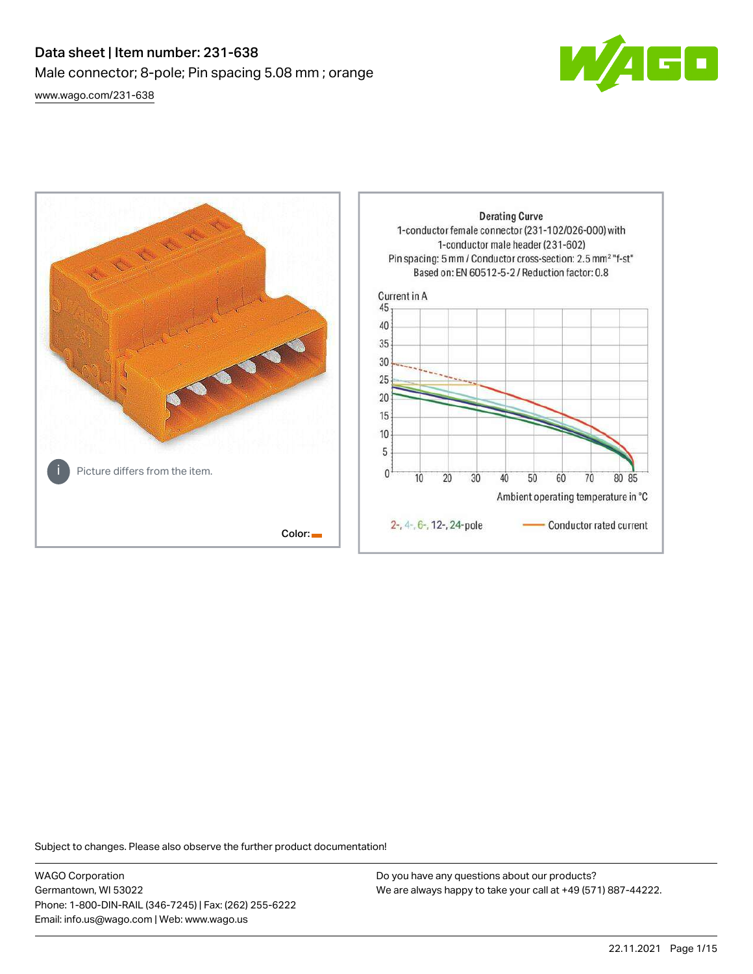# Data sheet | Item number: 231-638 Male connector; 8-pole; Pin spacing 5.08 mm ; orange [www.wago.com/231-638](http://www.wago.com/231-638)



**Derating Curve** 1-conductor female connector (231-102/026-000) with 1-conductor male header (231-602) Pin spacing: 5 mm / Conductor cross-section: 2.5 mm<sup>2</sup> "f-st" Based on: EN 60512-5-2 / Reduction factor: 0.8 Current in A 45 40 35 30 25  $20$ 15 10 5 Picture differs from the item.  $\mathbf{0}$  $\overline{10}$ 20 30 40 50 60 70 80 85 Ambient operating temperature in °C 2-, 4-, 6-, 12-, 24-pole Conductor rated current Color:

Subject to changes. Please also observe the further product documentation!

WAGO Corporation Germantown, WI 53022 Phone: 1-800-DIN-RAIL (346-7245) | Fax: (262) 255-6222 Email: info.us@wago.com | Web: www.wago.us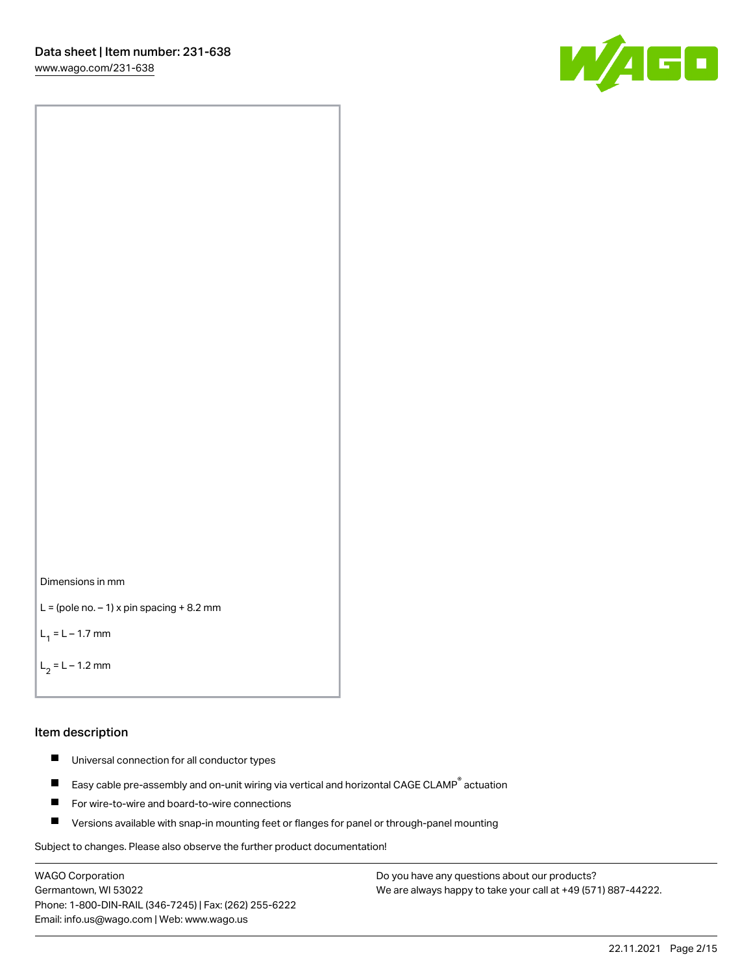



```
L = (pole no. -1) x pin spacing +8.2 mm
```
 $L_1 = L - 1.7$  mm

```
L_2 = L - 1.2 mm
```
## Item description

- $\blacksquare$ Universal connection for all conductor types
- Easy cable pre-assembly and on-unit wiring via vertical and horizontal CAGE CLAMP<sup>®</sup> actuation  $\blacksquare$
- П For wire-to-wire and board-to-wire connections
- $\blacksquare$ Versions available with snap-in mounting feet or flanges for panel or through-panel mounting

Subject to changes. Please also observe the further product documentation!

WAGO Corporation Germantown, WI 53022 Phone: 1-800-DIN-RAIL (346-7245) | Fax: (262) 255-6222 Email: info.us@wago.com | Web: www.wago.us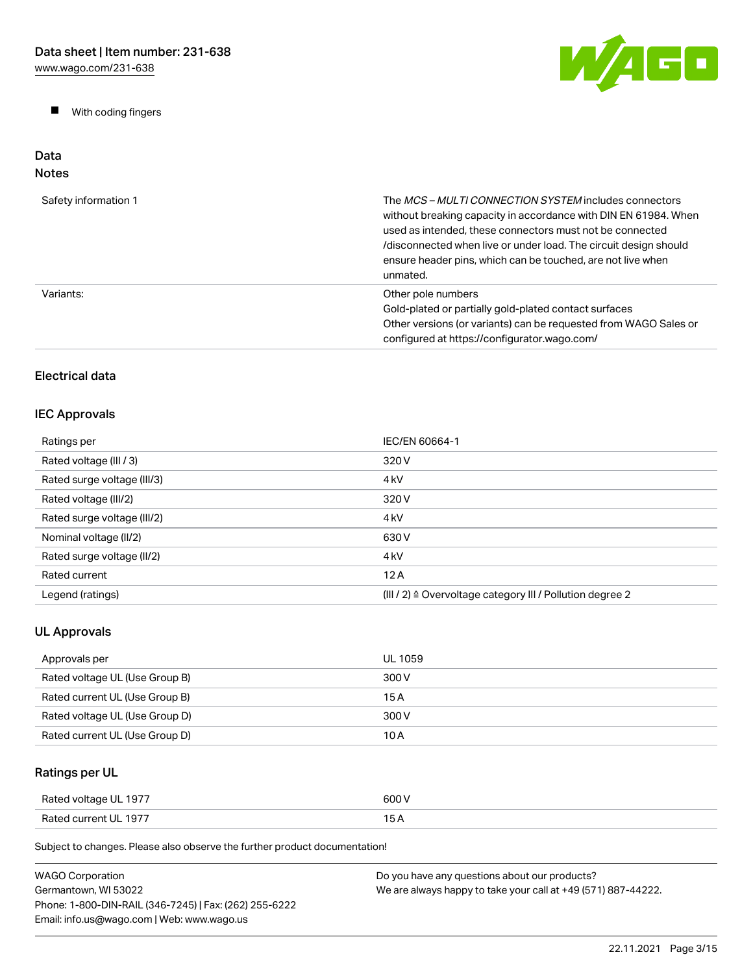$\blacksquare$ With coding fingers



## Data Notes

| Safety information 1 | The MCS-MULTI CONNECTION SYSTEM includes connectors<br>without breaking capacity in accordance with DIN EN 61984. When<br>used as intended, these connectors must not be connected<br>/disconnected when live or under load. The circuit design should<br>ensure header pins, which can be touched, are not live when<br>unmated. |
|----------------------|-----------------------------------------------------------------------------------------------------------------------------------------------------------------------------------------------------------------------------------------------------------------------------------------------------------------------------------|
| Variants:            | Other pole numbers<br>Gold-plated or partially gold-plated contact surfaces<br>Other versions (or variants) can be requested from WAGO Sales or<br>configured at https://configurator.wago.com/                                                                                                                                   |

# Electrical data

# IEC Approvals

| Ratings per                 | IEC/EN 60664-1                                                       |
|-----------------------------|----------------------------------------------------------------------|
| Rated voltage (III / 3)     | 320 V                                                                |
| Rated surge voltage (III/3) | 4 <sub>kV</sub>                                                      |
| Rated voltage (III/2)       | 320 V                                                                |
| Rated surge voltage (III/2) | 4 <sub>k</sub> V                                                     |
| Nominal voltage (II/2)      | 630 V                                                                |
| Rated surge voltage (II/2)  | 4 <sub>k</sub> V                                                     |
| Rated current               | 12A                                                                  |
| Legend (ratings)            | (III / 2) $\triangleq$ Overvoltage category III / Pollution degree 2 |

# UL Approvals

| Approvals per                  | UL 1059 |
|--------------------------------|---------|
| Rated voltage UL (Use Group B) | 300 V   |
| Rated current UL (Use Group B) | 15 A    |
| Rated voltage UL (Use Group D) | 300 V   |
| Rated current UL (Use Group D) | 10 A    |

# Ratings per UL

| Rated voltage UL 1977 | 600 V |
|-----------------------|-------|
| Rated current UL 1977 | 15 A  |

| WAGO Corporation                                       | Do you have any questions about our products?                 |
|--------------------------------------------------------|---------------------------------------------------------------|
| Germantown, WI 53022                                   | We are always happy to take your call at +49 (571) 887-44222. |
| Phone: 1-800-DIN-RAIL (346-7245)   Fax: (262) 255-6222 |                                                               |
| Email: info.us@wago.com   Web: www.wago.us             |                                                               |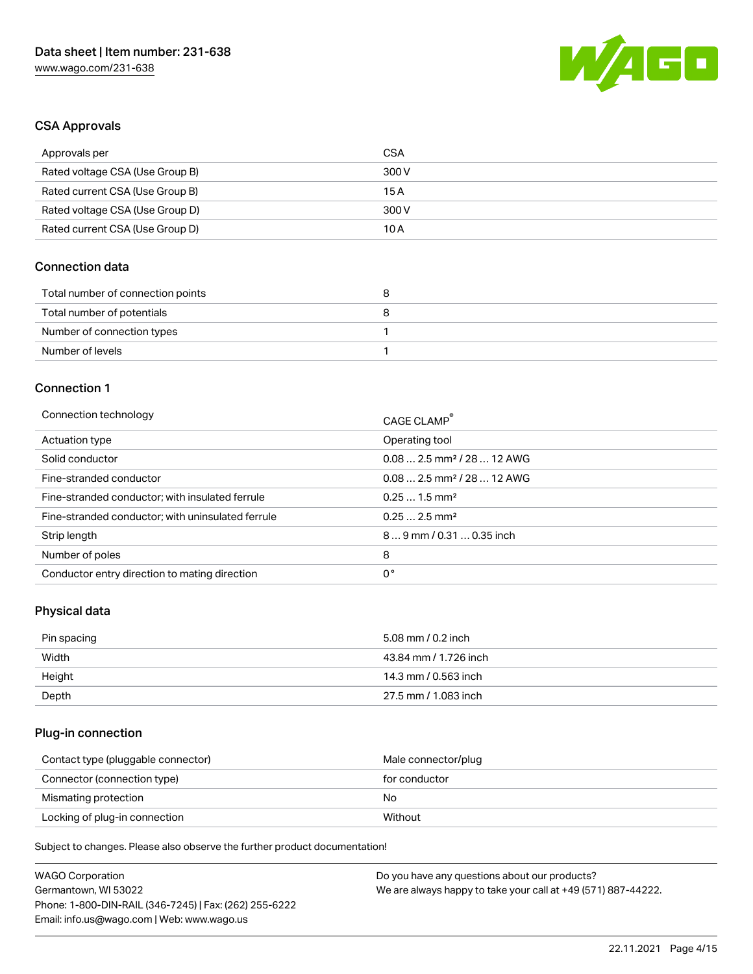

# CSA Approvals

| Approvals per                   | CSA   |
|---------------------------------|-------|
| Rated voltage CSA (Use Group B) | 300 V |
| Rated current CSA (Use Group B) | 15 A  |
| Rated voltage CSA (Use Group D) | 300 V |
| Rated current CSA (Use Group D) | 10 A  |

# Connection data

| Total number of connection points | o |
|-----------------------------------|---|
| Total number of potentials        |   |
| Number of connection types        |   |
| Number of levels                  |   |

## Connection 1

| Connection technology                             | CAGE CLAMP <sup>®</sup>                |
|---------------------------------------------------|----------------------------------------|
| Actuation type                                    | Operating tool                         |
| Solid conductor                                   | $0.082.5$ mm <sup>2</sup> / 28  12 AWG |
| Fine-stranded conductor                           | $0.082.5$ mm <sup>2</sup> / 28  12 AWG |
| Fine-stranded conductor; with insulated ferrule   | $0.251.5$ mm <sup>2</sup>              |
| Fine-stranded conductor; with uninsulated ferrule | $0.252.5$ mm <sup>2</sup>              |
| Strip length                                      | $89$ mm / 0.31  0.35 inch              |
| Number of poles                                   | 8                                      |
| Conductor entry direction to mating direction     | 0°                                     |

# Physical data

| Pin spacing | 5.08 mm / 0.2 inch    |
|-------------|-----------------------|
| Width       | 43.84 mm / 1.726 inch |
| Height      | 14.3 mm / 0.563 inch  |
| Depth       | 27.5 mm / 1.083 inch  |

# Plug-in connection

| Contact type (pluggable connector) | Male connector/plug |
|------------------------------------|---------------------|
| Connector (connection type)        | for conductor       |
| Mismating protection               | No                  |
| Locking of plug-in connection      | Without             |

| <b>WAGO Corporation</b>                                | Do you have any questions about our products?                 |
|--------------------------------------------------------|---------------------------------------------------------------|
| Germantown, WI 53022                                   | We are always happy to take your call at +49 (571) 887-44222. |
| Phone: 1-800-DIN-RAIL (346-7245)   Fax: (262) 255-6222 |                                                               |
| Email: info.us@wago.com   Web: www.wago.us             |                                                               |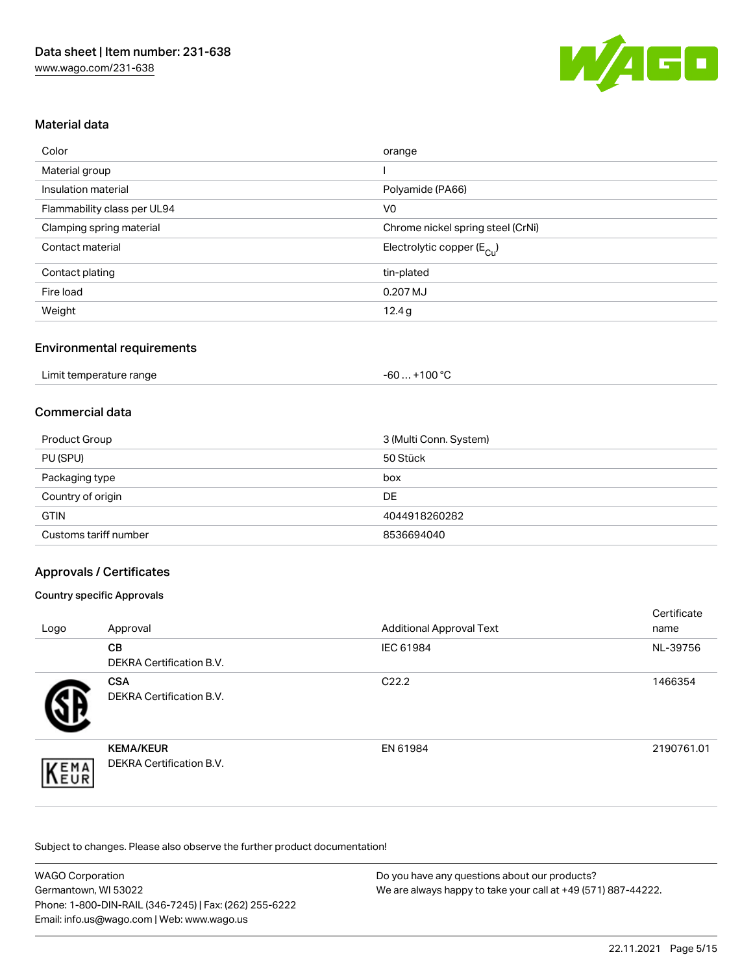

# Material data

| Color                       | orange                                |
|-----------------------------|---------------------------------------|
| Material group              |                                       |
| Insulation material         | Polyamide (PA66)                      |
| Flammability class per UL94 | V <sub>0</sub>                        |
| Clamping spring material    | Chrome nickel spring steel (CrNi)     |
| Contact material            | Electrolytic copper $(E_{\text{Cl}})$ |
| Contact plating             | tin-plated                            |
| Fire load                   | 0.207 MJ                              |
| Weight                      | 12.4g                                 |

# Environmental requirements

| Limit temperature range<br>. | +100 $^{\circ}$ C<br>-60 |  |
|------------------------------|--------------------------|--|
|------------------------------|--------------------------|--|

# Commercial data

| <b>Product Group</b>  | 3 (Multi Conn. System) |
|-----------------------|------------------------|
| PU (SPU)              | 50 Stück               |
| Packaging type        | box                    |
| Country of origin     | <b>DE</b>              |
| <b>GTIN</b>           | 4044918260282          |
| Customs tariff number | 8536694040             |

# Approvals / Certificates

## Country specific Approvals

| Logo | Approval                                     | <b>Additional Approval Text</b> | Certificate<br>name |
|------|----------------------------------------------|---------------------------------|---------------------|
|      | <b>CB</b><br><b>DEKRA Certification B.V.</b> | IEC 61984                       | NL-39756            |
|      | <b>CSA</b><br>DEKRA Certification B.V.       | C <sub>22.2</sub>               | 1466354             |
| EMA  | <b>KEMA/KEUR</b><br>DEKRA Certification B.V. | EN 61984                        | 2190761.01          |

| <b>WAGO Corporation</b>                                | Do you have any questions about our products?                 |
|--------------------------------------------------------|---------------------------------------------------------------|
| Germantown, WI 53022                                   | We are always happy to take your call at +49 (571) 887-44222. |
| Phone: 1-800-DIN-RAIL (346-7245)   Fax: (262) 255-6222 |                                                               |
| Email: info.us@wago.com   Web: www.wago.us             |                                                               |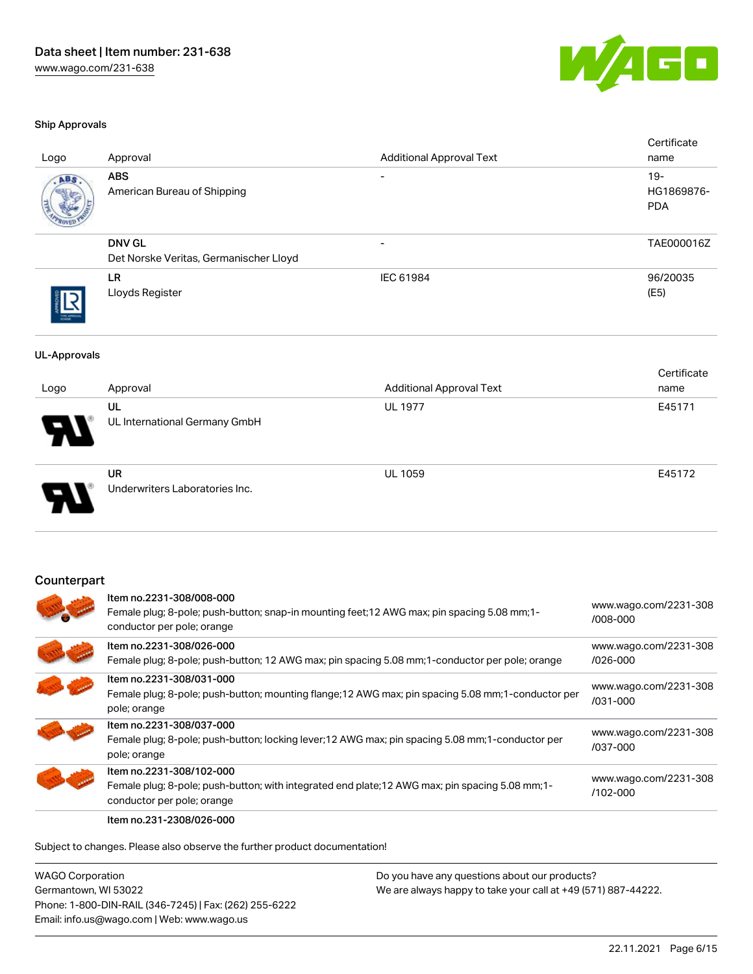

#### Ship Approvals

| Logo                | Approval                                                                                                                                               | <b>Additional Approval Text</b>                                                                     | Certificate<br>name                |
|---------------------|--------------------------------------------------------------------------------------------------------------------------------------------------------|-----------------------------------------------------------------------------------------------------|------------------------------------|
| ABS                 | <b>ABS</b><br>American Bureau of Shipping                                                                                                              |                                                                                                     | $19 -$<br>HG1869876-<br><b>PDA</b> |
|                     | <b>DNV GL</b><br>Det Norske Veritas, Germanischer Lloyd                                                                                                |                                                                                                     | TAE000016Z                         |
|                     | <b>LR</b><br>Lloyds Register                                                                                                                           | IEC 61984                                                                                           | 96/20035<br>(E5)                   |
| <b>UL-Approvals</b> |                                                                                                                                                        |                                                                                                     |                                    |
| Logo                | Approval                                                                                                                                               | <b>Additional Approval Text</b>                                                                     | Certificate<br>name                |
|                     | <b>UL</b><br>UL International Germany GmbH                                                                                                             | <b>UL 1977</b>                                                                                      | E45171                             |
|                     | <b>UR</b><br>Underwriters Laboratories Inc.                                                                                                            | <b>UL 1059</b>                                                                                      | E45172                             |
| Counterpart         |                                                                                                                                                        |                                                                                                     |                                    |
|                     | Item no.2231-308/008-000<br>Female plug; 8-pole; push-button; snap-in mounting feet; 12 AWG max; pin spacing 5.08 mm; 1-<br>conductor per pole; orange |                                                                                                     | www.wago.com/2231-308<br>/008-000  |
|                     | Item no.2231-308/026-000<br>Female plug; 8-pole; push-button; 12 AWG max; pin spacing 5.08 mm; 1-conductor per pole; orange                            |                                                                                                     | www.wago.com/2231-308<br>/026-000  |
|                     | Item no.2231-308/031-000<br>pole; orange                                                                                                               | Female plug; 8-pole; push-button; mounting flange; 12 AWG max; pin spacing 5.08 mm; 1-conductor per | www.wago.com/2231-308<br>/031-000  |
|                     | Item no.2231-308/037-000<br>Female plug; 8-pole; push-button; locking lever; 12 AWG max; pin spacing 5.08 mm; 1-conductor per<br>pole; orange          |                                                                                                     | www.wago.com/2231-308<br>/037-000  |
|                     | Item no.2231-308/102-000                                                                                                                               |                                                                                                     | www.wago.com/2231-308              |

Female plug; 8-pole; push-button; with integrated end plate;12 AWG max; pin spacing 5.08 mm;1-

conductor per pole; orange Item no.231-2308/026-000

Subject to changes. Please also observe the further product documentation!

WAGO Corporation Germantown, WI 53022 Phone: 1-800-DIN-RAIL (346-7245) | Fax: (262) 255-6222 Email: info.us@wago.com | Web: www.wago.us

Do you have any questions about our products? We are always happy to take your call at +49 (571) 887-44222.

[/102-000](https://www.wago.com/2231-308/102-000)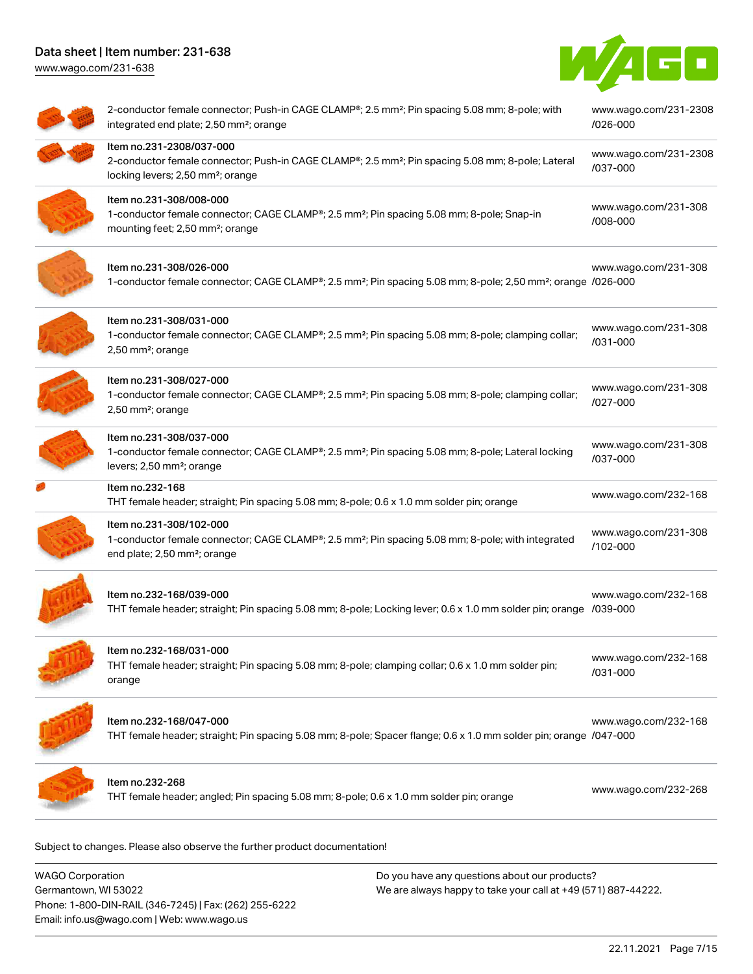[www.wago.com/231-638](http://www.wago.com/231-638)



| 2-conductor female connector; Push-in CAGE CLAMP®; 2.5 mm <sup>2</sup> ; Pin spacing 5.08 mm; 8-pole; with<br>integrated end plate; 2,50 mm <sup>2</sup> ; orange                          | www.wago.com/231-2308<br>/026-000 |
|--------------------------------------------------------------------------------------------------------------------------------------------------------------------------------------------|-----------------------------------|
| Item no.231-2308/037-000<br>2-conductor female connector; Push-in CAGE CLAMP®; 2.5 mm <sup>2</sup> ; Pin spacing 5.08 mm; 8-pole; Lateral<br>locking levers; 2,50 mm <sup>2</sup> ; orange | www.wago.com/231-2308<br>/037-000 |
| Item no.231-308/008-000<br>1-conductor female connector; CAGE CLAMP®; 2.5 mm <sup>2</sup> ; Pin spacing 5.08 mm; 8-pole; Snap-in<br>mounting feet; 2,50 mm <sup>2</sup> ; orange           | www.wago.com/231-308<br>/008-000  |
| Item no.231-308/026-000<br>1-conductor female connector; CAGE CLAMP®; 2.5 mm <sup>2</sup> ; Pin spacing 5.08 mm; 8-pole; 2,50 mm <sup>2</sup> ; orange /026-000                            | www.wago.com/231-308              |
| Item no.231-308/031-000<br>1-conductor female connector; CAGE CLAMP®; 2.5 mm <sup>2</sup> ; Pin spacing 5.08 mm; 8-pole; clamping collar;<br>2,50 mm <sup>2</sup> ; orange                 | www.wago.com/231-308<br>/031-000  |
| Item no.231-308/027-000<br>1-conductor female connector; CAGE CLAMP®; 2.5 mm <sup>2</sup> ; Pin spacing 5.08 mm; 8-pole; clamping collar;<br>2,50 mm <sup>2</sup> ; orange                 | www.wago.com/231-308<br>/027-000  |
| Item no.231-308/037-000<br>1-conductor female connector; CAGE CLAMP®; 2.5 mm <sup>2</sup> ; Pin spacing 5.08 mm; 8-pole; Lateral locking<br>levers; 2,50 mm <sup>2</sup> ; orange          | www.wago.com/231-308<br>/037-000  |
| Item no.232-168<br>THT female header; straight; Pin spacing 5.08 mm; 8-pole; 0.6 x 1.0 mm solder pin; orange                                                                               | www.wago.com/232-168              |
| Item no.231-308/102-000<br>1-conductor female connector; CAGE CLAMP®; 2.5 mm <sup>2</sup> ; Pin spacing 5.08 mm; 8-pole; with integrated<br>end plate; 2,50 mm <sup>2</sup> ; orange       | www.wago.com/231-308<br>/102-000  |
| Item no.232-168/039-000<br>THT female header; straight; Pin spacing 5.08 mm; 8-pole; Locking lever; 0.6 x 1.0 mm solder pin; orange /039-000                                               | www.wago.com/232-168              |
| ltem no.232-168/031-000<br>THT female header; straight; Pin spacing 5.08 mm; 8-pole; clamping collar; 0.6 x 1.0 mm solder pin;<br>orange                                                   | www.wago.com/232-168<br>/031-000  |
| Item no.232-168/047-000<br>THT female header; straight; Pin spacing 5.08 mm; 8-pole; Spacer flange; 0.6 x 1.0 mm solder pin; orange /047-000                                               | www.wago.com/232-168              |
| Item no.232-268<br>THT female header; angled; Pin spacing 5.08 mm; 8-pole; 0.6 x 1.0 mm solder pin; orange                                                                                 | www.wago.com/232-268              |

 $\mathfrak p$ ject to changes. Please also observe the further product documentatio

WAGO Corporation Germantown, WI 53022 Phone: 1-800-DIN-RAIL (346-7245) | Fax: (262) 255-6222 Email: info.us@wago.com | Web: www.wago.us Do you have any questions about our products? We are always happy to take your call at +49 (571) 887-44222.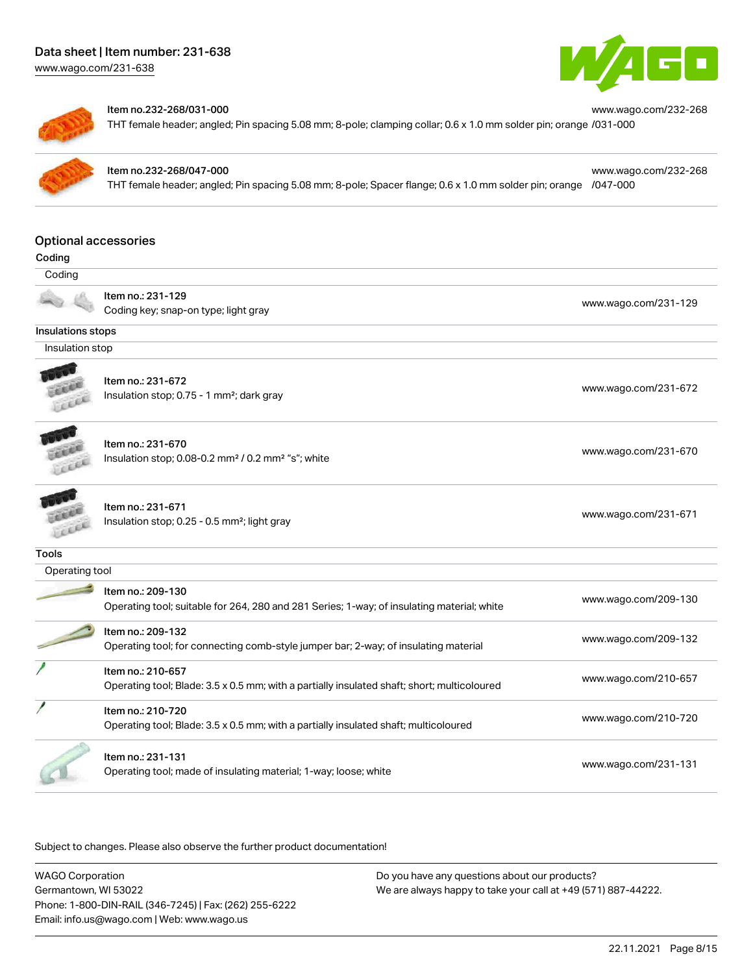[www.wago.com/231-638](http://www.wago.com/231-638)





### Item no.232-268/031-000

THT female header; angled; Pin spacing 5.08 mm; 8-pole; clamping collar; 0.6 x 1.0 mm solder pin; orange [/031-000](https://www.wago.com/232-268/031-000)

## Item no.232-268/047-000

THT female header; angled; Pin spacing 5.08 mm; 8-pole; Spacer flange; 0.6 x 1.0 mm solder pin; orange [/047-000](https://www.wago.com/232-268/047-000)

[www.wago.com/232-268](https://www.wago.com/232-268/047-000)

[www.wago.com/232-268](https://www.wago.com/232-268/031-000)

# Optional accessories

| Optibliai auutssulits |                                                                                             |                      |
|-----------------------|---------------------------------------------------------------------------------------------|----------------------|
| Coding                |                                                                                             |                      |
| Coding                |                                                                                             |                      |
|                       | Item no.: 231-129                                                                           |                      |
|                       | Coding key; snap-on type; light gray                                                        | www.wago.com/231-129 |
| Insulations stops     |                                                                                             |                      |
| Insulation stop       |                                                                                             |                      |
|                       |                                                                                             |                      |
|                       | Item no.: 231-672                                                                           | www.wago.com/231-672 |
|                       | Insulation stop; 0.75 - 1 mm <sup>2</sup> ; dark gray                                       |                      |
|                       | Item no.: 231-670                                                                           |                      |
|                       | Insulation stop; 0.08-0.2 mm <sup>2</sup> / 0.2 mm <sup>2</sup> "s"; white                  | www.wago.com/231-670 |
|                       |                                                                                             |                      |
|                       | Item no.: 231-671                                                                           |                      |
|                       | Insulation stop; 0.25 - 0.5 mm <sup>2</sup> ; light gray                                    | www.wago.com/231-671 |
|                       |                                                                                             |                      |
| Tools                 |                                                                                             |                      |
| Operating tool        |                                                                                             |                      |
|                       | Item no.: 209-130                                                                           |                      |
|                       | Operating tool; suitable for 264, 280 and 281 Series; 1-way; of insulating material; white  | www.wago.com/209-130 |
|                       | Item no.: 209-132                                                                           | www.wago.com/209-132 |
|                       | Operating tool; for connecting comb-style jumper bar; 2-way; of insulating material         |                      |
|                       | Item no.: 210-657                                                                           |                      |
|                       | Operating tool; Blade: 3.5 x 0.5 mm; with a partially insulated shaft; short; multicoloured | www.wago.com/210-657 |
|                       | Item no.: 210-720                                                                           | www.wago.com/210-720 |
|                       | Operating tool; Blade: 3.5 x 0.5 mm; with a partially insulated shaft; multicoloured        |                      |
|                       | Item no.: 231-131                                                                           |                      |
|                       | Operating tool; made of insulating material; 1-way; loose; white                            | www.wago.com/231-131 |
|                       |                                                                                             |                      |

| <b>WAGO Corporation</b>                                | Do you have any questions about our products?                 |
|--------------------------------------------------------|---------------------------------------------------------------|
| Germantown, WI 53022                                   | We are always happy to take your call at +49 (571) 887-44222. |
| Phone: 1-800-DIN-RAIL (346-7245)   Fax: (262) 255-6222 |                                                               |
| Email: info.us@wago.com   Web: www.wago.us             |                                                               |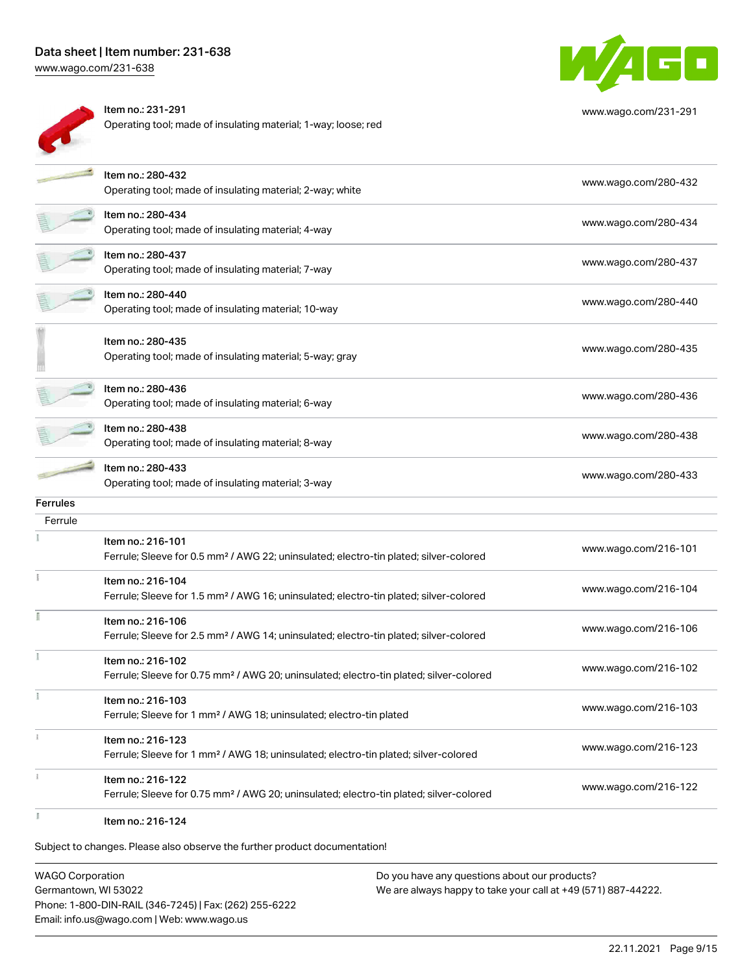[www.wago.com/231-638](http://www.wago.com/231-638)



Subject to changes. Please also observe the further product documentation!

WAGO Corporation Germantown, WI 53022 Phone: 1-800-DIN-RAIL (346-7245) | Fax: (262) 255-6222 Email: info.us@wago.com | Web: www.wago.us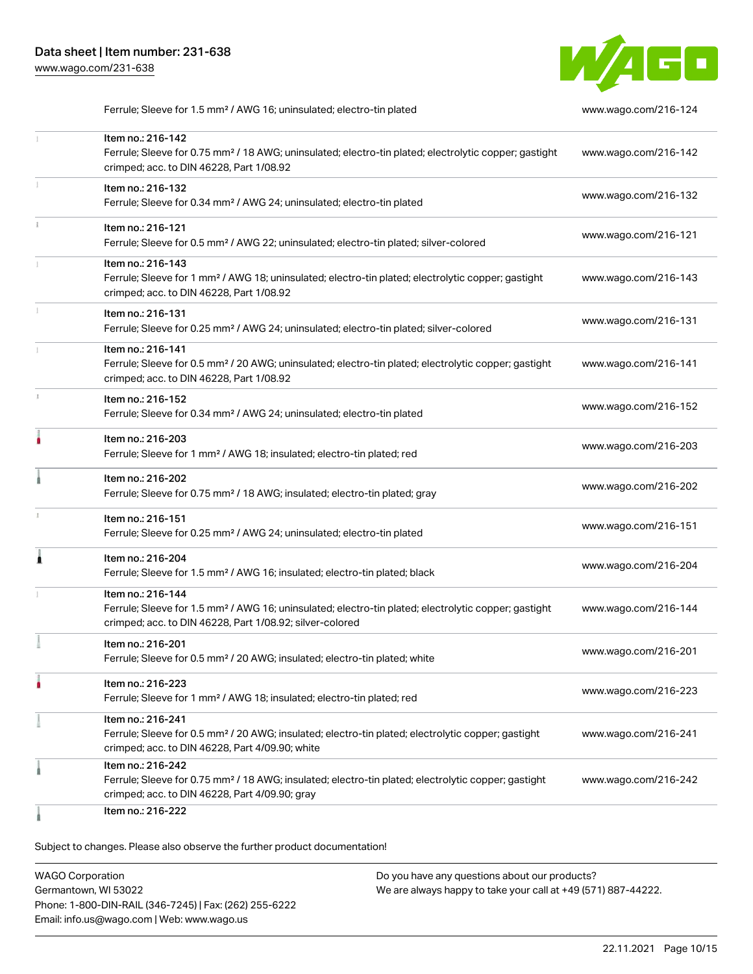

Ferrule; Sleeve for 1.5 mm² / AWG 16; uninsulated; electro-tin plated [www.wago.com/216-124](http://www.wago.com/216-124)

|              | Item no.: 216-142<br>Ferrule; Sleeve for 0.75 mm <sup>2</sup> / 18 AWG; uninsulated; electro-tin plated; electrolytic copper; gastight<br>crimped; acc. to DIN 46228, Part 1/08.92                | www.wago.com/216-142 |
|--------------|---------------------------------------------------------------------------------------------------------------------------------------------------------------------------------------------------|----------------------|
| I.           | Item no.: 216-132<br>Ferrule; Sleeve for 0.34 mm <sup>2</sup> / AWG 24; uninsulated; electro-tin plated                                                                                           | www.wago.com/216-132 |
|              | Item no.: 216-121<br>Ferrule; Sleeve for 0.5 mm <sup>2</sup> / AWG 22; uninsulated; electro-tin plated; silver-colored                                                                            | www.wago.com/216-121 |
| $\mathbb{I}$ | Item no.: 216-143<br>Ferrule; Sleeve for 1 mm <sup>2</sup> / AWG 18; uninsulated; electro-tin plated; electrolytic copper; gastight<br>crimped; acc. to DIN 46228, Part 1/08.92                   | www.wago.com/216-143 |
| T.           | Item no.: 216-131<br>Ferrule; Sleeve for 0.25 mm <sup>2</sup> / AWG 24; uninsulated; electro-tin plated; silver-colored                                                                           | www.wago.com/216-131 |
|              | Item no.: 216-141<br>Ferrule; Sleeve for 0.5 mm <sup>2</sup> / 20 AWG; uninsulated; electro-tin plated; electrolytic copper; gastight<br>crimped; acc. to DIN 46228, Part 1/08.92                 | www.wago.com/216-141 |
| J.           | Item no.: 216-152<br>Ferrule; Sleeve for 0.34 mm <sup>2</sup> / AWG 24; uninsulated; electro-tin plated                                                                                           | www.wago.com/216-152 |
| ٠            | Item no.: 216-203<br>Ferrule; Sleeve for 1 mm <sup>2</sup> / AWG 18; insulated; electro-tin plated; red                                                                                           | www.wago.com/216-203 |
|              | Item no.: 216-202<br>Ferrule; Sleeve for 0.75 mm <sup>2</sup> / 18 AWG; insulated; electro-tin plated; gray                                                                                       | www.wago.com/216-202 |
|              | Item no.: 216-151<br>Ferrule; Sleeve for 0.25 mm <sup>2</sup> / AWG 24; uninsulated; electro-tin plated                                                                                           | www.wago.com/216-151 |
| Â            | Item no.: 216-204<br>Ferrule; Sleeve for 1.5 mm <sup>2</sup> / AWG 16; insulated; electro-tin plated; black                                                                                       | www.wago.com/216-204 |
|              | Item no.: 216-144<br>Ferrule; Sleeve for 1.5 mm <sup>2</sup> / AWG 16; uninsulated; electro-tin plated; electrolytic copper; gastight<br>crimped; acc. to DIN 46228, Part 1/08.92; silver-colored | www.wago.com/216-144 |
|              | Item no.: 216-201<br>Ferrule; Sleeve for 0.5 mm <sup>2</sup> / 20 AWG; insulated; electro-tin plated; white                                                                                       | www.wago.com/216-201 |
|              | Item no.: 216-223<br>Ferrule; Sleeve for 1 mm <sup>2</sup> / AWG 18; insulated; electro-tin plated; red                                                                                           | www.wago.com/216-223 |
|              | Item no.: 216-241<br>Ferrule; Sleeve for 0.5 mm <sup>2</sup> / 20 AWG; insulated; electro-tin plated; electrolytic copper; gastight<br>crimped; acc. to DIN 46228, Part 4/09.90; white            | www.wago.com/216-241 |
|              | Item no.: 216-242<br>Ferrule; Sleeve for 0.75 mm <sup>2</sup> / 18 AWG; insulated; electro-tin plated; electrolytic copper; gastight<br>crimped; acc. to DIN 46228, Part 4/09.90; gray            | www.wago.com/216-242 |
|              | Item no.: 216-222                                                                                                                                                                                 |                      |

Subject to changes. Please also observe the further product documentation!

WAGO Corporation Germantown, WI 53022 Phone: 1-800-DIN-RAIL (346-7245) | Fax: (262) 255-6222 Email: info.us@wago.com | Web: www.wago.us Do you have any questions about our products? We are always happy to take your call at +49 (571) 887-44222.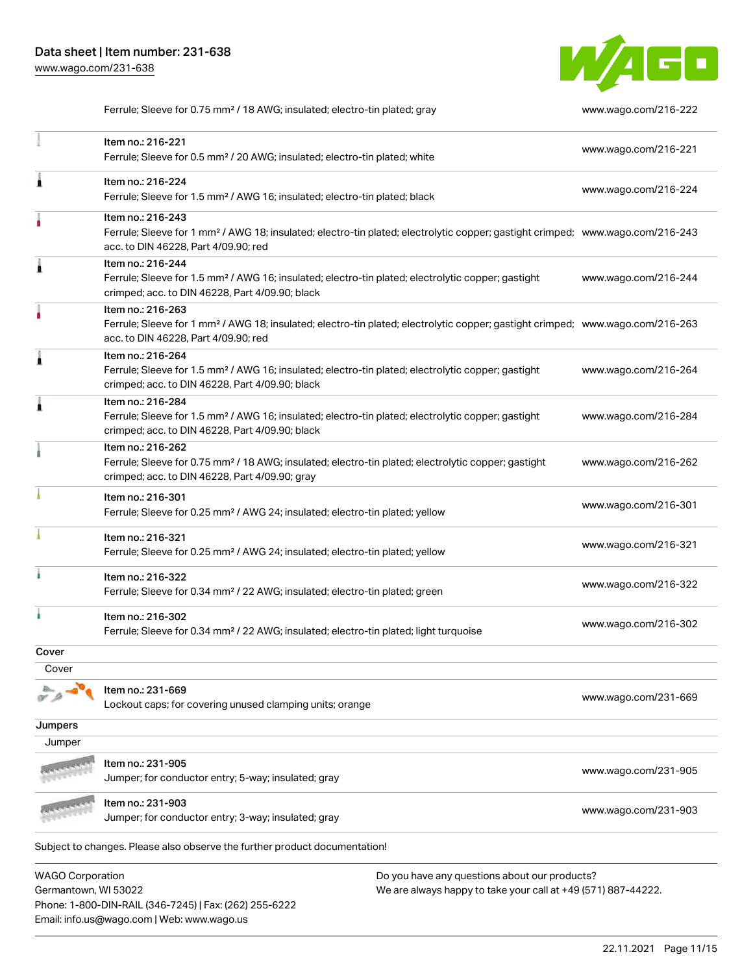Phone: 1-800-DIN-RAIL (346-7245) | Fax: (262) 255-6222

Email: info.us@wago.com | Web: www.wago.us



Ferrule; Sleeve for 0.75 mm² / 18 AWG; insulated; electro-tin plated; gray [www.wago.com/216-222](http://www.wago.com/216-222)

|                                                 | Item no.: 216-221<br>Ferrule; Sleeve for 0.5 mm <sup>2</sup> / 20 AWG; insulated; electro-tin plated; white                                                                                             |                                                                                                                | www.wago.com/216-221 |
|-------------------------------------------------|---------------------------------------------------------------------------------------------------------------------------------------------------------------------------------------------------------|----------------------------------------------------------------------------------------------------------------|----------------------|
| Â                                               | Item no.: 216-224<br>Ferrule; Sleeve for 1.5 mm <sup>2</sup> / AWG 16; insulated; electro-tin plated; black                                                                                             |                                                                                                                | www.wago.com/216-224 |
|                                                 | Item no.: 216-243<br>Ferrule; Sleeve for 1 mm <sup>2</sup> / AWG 18; insulated; electro-tin plated; electrolytic copper; gastight crimped; www.wago.com/216-243<br>acc. to DIN 46228, Part 4/09.90; red |                                                                                                                |                      |
|                                                 | Item no.: 216-244<br>Ferrule; Sleeve for 1.5 mm <sup>2</sup> / AWG 16; insulated; electro-tin plated; electrolytic copper; gastight<br>crimped; acc. to DIN 46228, Part 4/09.90; black                  |                                                                                                                | www.wago.com/216-244 |
|                                                 | Item no.: 216-263<br>Ferrule; Sleeve for 1 mm <sup>2</sup> / AWG 18; insulated; electro-tin plated; electrolytic copper; gastight crimped; www.wago.com/216-263<br>acc. to DIN 46228, Part 4/09.90; red |                                                                                                                |                      |
| Â                                               | Item no.: 216-264<br>Ferrule; Sleeve for 1.5 mm <sup>2</sup> / AWG 16; insulated; electro-tin plated; electrolytic copper; gastight<br>crimped; acc. to DIN 46228, Part 4/09.90; black                  |                                                                                                                | www.wago.com/216-264 |
| Â                                               | Item no.: 216-284<br>Ferrule; Sleeve for 1.5 mm <sup>2</sup> / AWG 16; insulated; electro-tin plated; electrolytic copper; gastight<br>crimped; acc. to DIN 46228, Part 4/09.90; black                  |                                                                                                                | www.wago.com/216-284 |
|                                                 | Item no.: 216-262<br>Ferrule; Sleeve for 0.75 mm <sup>2</sup> / 18 AWG; insulated; electro-tin plated; electrolytic copper; gastight<br>crimped; acc. to DIN 46228, Part 4/09.90; gray                  |                                                                                                                | www.wago.com/216-262 |
|                                                 | Item no.: 216-301<br>Ferrule; Sleeve for 0.25 mm <sup>2</sup> / AWG 24; insulated; electro-tin plated; yellow                                                                                           |                                                                                                                | www.wago.com/216-301 |
|                                                 | Item no.: 216-321<br>Ferrule; Sleeve for 0.25 mm <sup>2</sup> / AWG 24; insulated; electro-tin plated; yellow                                                                                           |                                                                                                                | www.wago.com/216-321 |
|                                                 | Item no.: 216-322<br>Ferrule; Sleeve for 0.34 mm <sup>2</sup> / 22 AWG; insulated; electro-tin plated; green                                                                                            |                                                                                                                | www.wago.com/216-322 |
|                                                 | Item no.: 216-302<br>Ferrule; Sleeve for 0.34 mm <sup>2</sup> / 22 AWG; insulated; electro-tin plated; light turquoise                                                                                  |                                                                                                                | www.wago.com/216-302 |
| Cover                                           |                                                                                                                                                                                                         |                                                                                                                |                      |
| Cover                                           |                                                                                                                                                                                                         |                                                                                                                |                      |
|                                                 | Item no.: 231-669<br>Lockout caps; for covering unused clamping units; orange                                                                                                                           |                                                                                                                | www.wago.com/231-669 |
| Jumpers                                         |                                                                                                                                                                                                         |                                                                                                                |                      |
| Jumper                                          |                                                                                                                                                                                                         |                                                                                                                |                      |
|                                                 | Item no.: 231-905<br>Jumper; for conductor entry; 5-way; insulated; gray                                                                                                                                |                                                                                                                | www.wago.com/231-905 |
|                                                 | Item no.: 231-903<br>Jumper; for conductor entry; 3-way; insulated; gray                                                                                                                                |                                                                                                                | www.wago.com/231-903 |
|                                                 | Subject to changes. Please also observe the further product documentation!                                                                                                                              |                                                                                                                |                      |
| <b>WAGO Corporation</b><br>Germantown, WI 53022 |                                                                                                                                                                                                         | Do you have any questions about our products?<br>We are always happy to take your call at +49 (571) 887-44222. |                      |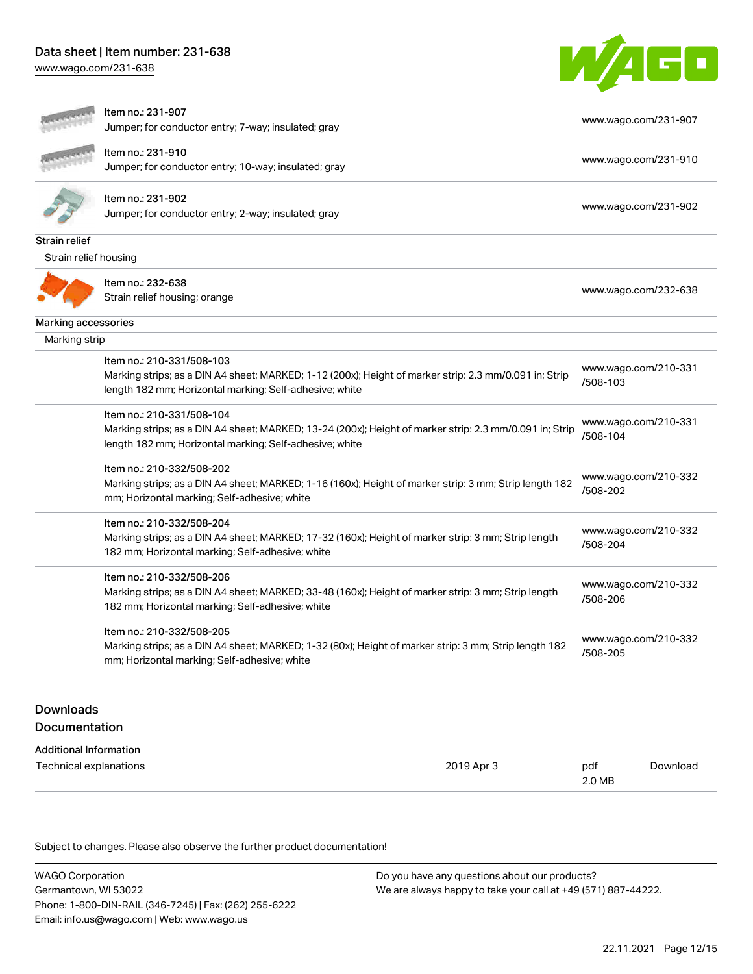[www.wago.com/231-638](http://www.wago.com/231-638)



|                            | Item no.: 231-907                                                                                       | www.wago.com/231-907             |
|----------------------------|---------------------------------------------------------------------------------------------------------|----------------------------------|
|                            | Jumper; for conductor entry; 7-way; insulated; gray                                                     |                                  |
|                            | Item no.: 231-910                                                                                       | www.wago.com/231-910             |
|                            | Jumper; for conductor entry; 10-way; insulated; gray                                                    |                                  |
|                            | Item no.: 231-902                                                                                       |                                  |
|                            | Jumper; for conductor entry; 2-way; insulated; gray                                                     | www.wago.com/231-902             |
| <b>Strain relief</b>       |                                                                                                         |                                  |
| Strain relief housing      |                                                                                                         |                                  |
|                            | Item no.: 232-638                                                                                       |                                  |
|                            | Strain relief housing; orange                                                                           | www.wago.com/232-638             |
| <b>Marking accessories</b> |                                                                                                         |                                  |
| Marking strip              |                                                                                                         |                                  |
|                            | Item no.: 210-331/508-103                                                                               | www.wago.com/210-331             |
|                            | Marking strips; as a DIN A4 sheet; MARKED; 1-12 (200x); Height of marker strip: 2.3 mm/0.091 in; Strip  | /508-103                         |
|                            | length 182 mm; Horizontal marking; Self-adhesive; white                                                 |                                  |
|                            | Item no.: 210-331/508-104                                                                               | www.wago.com/210-331             |
|                            | Marking strips; as a DIN A4 sheet; MARKED; 13-24 (200x); Height of marker strip: 2.3 mm/0.091 in; Strip | /508-104                         |
|                            | length 182 mm; Horizontal marking; Self-adhesive; white                                                 |                                  |
|                            | Item no.: 210-332/508-202                                                                               |                                  |
|                            | Marking strips; as a DIN A4 sheet; MARKED; 1-16 (160x); Height of marker strip: 3 mm; Strip length 182  | www.wago.com/210-332<br>/508-202 |
|                            | mm; Horizontal marking; Self-adhesive; white                                                            |                                  |
|                            | Item no.: 210-332/508-204                                                                               |                                  |
|                            | Marking strips; as a DIN A4 sheet; MARKED; 17-32 (160x); Height of marker strip: 3 mm; Strip length     | www.wago.com/210-332<br>/508-204 |
|                            | 182 mm; Horizontal marking; Self-adhesive; white                                                        |                                  |
|                            | Item no.: 210-332/508-206                                                                               |                                  |
|                            | Marking strips; as a DIN A4 sheet; MARKED; 33-48 (160x); Height of marker strip: 3 mm; Strip length     | www.wago.com/210-332             |
|                            | 182 mm; Horizontal marking; Self-adhesive; white                                                        | /508-206                         |
|                            | Item no.: 210-332/508-205                                                                               |                                  |
|                            | Marking strips; as a DIN A4 sheet; MARKED; 1-32 (80x); Height of marker strip: 3 mm; Strip length 182   | www.wago.com/210-332             |
|                            | mm; Horizontal marking; Self-adhesive; white                                                            | /508-205                         |

Documentation

| <b>Additional Information</b> |            |        |          |
|-------------------------------|------------|--------|----------|
| Technical explanations        | 2019 Apr 3 | pdf    | Download |
|                               |            | 2.0 MB |          |

| WAGO Corporation                                       | Do you have any questions about our products?                 |
|--------------------------------------------------------|---------------------------------------------------------------|
| Germantown, WI 53022                                   | We are always happy to take your call at +49 (571) 887-44222. |
| Phone: 1-800-DIN-RAIL (346-7245)   Fax: (262) 255-6222 |                                                               |
| Email: info.us@wago.com   Web: www.wago.us             |                                                               |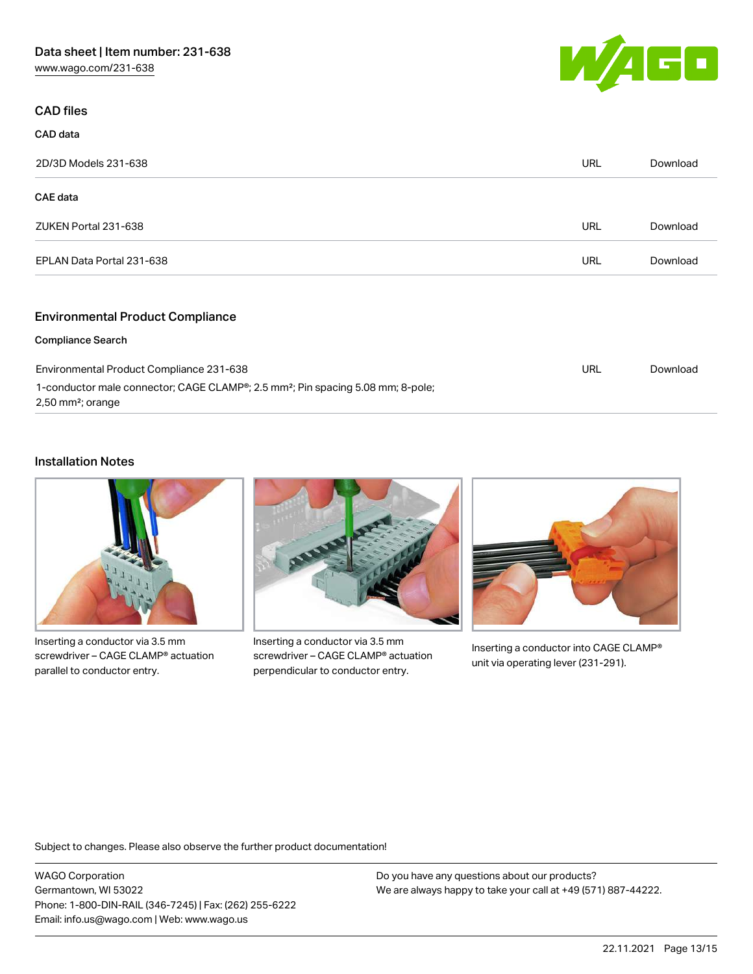

# CAD files

CAD data

| 2D/3D Models 231-638      | URL | Download |
|---------------------------|-----|----------|
| CAE data                  |     |          |
| ZUKEN Portal 231-638      | URL | Download |
| EPLAN Data Portal 231-638 | URL | Download |
|                           |     |          |

# Environmental Product Compliance

## Compliance Search

| Environmental Product Compliance 231-638                                                                                                    | URL | Download |
|---------------------------------------------------------------------------------------------------------------------------------------------|-----|----------|
| 1-conductor male connector; CAGE CLAMP <sup>®</sup> ; 2.5 mm <sup>2</sup> ; Pin spacing 5.08 mm; 8-pole;<br>$2,50$ mm <sup>2</sup> ; orange |     |          |

## Installation Notes



Inserting a conductor via 3.5 mm screwdriver – CAGE CLAMP® actuation parallel to conductor entry.



Inserting a conductor via 3.5 mm screwdriver – CAGE CLAMP® actuation perpendicular to conductor entry.



Inserting a conductor into CAGE CLAMP® unit via operating lever (231-291).

Subject to changes. Please also observe the further product documentation!

WAGO Corporation Germantown, WI 53022 Phone: 1-800-DIN-RAIL (346-7245) | Fax: (262) 255-6222 Email: info.us@wago.com | Web: www.wago.us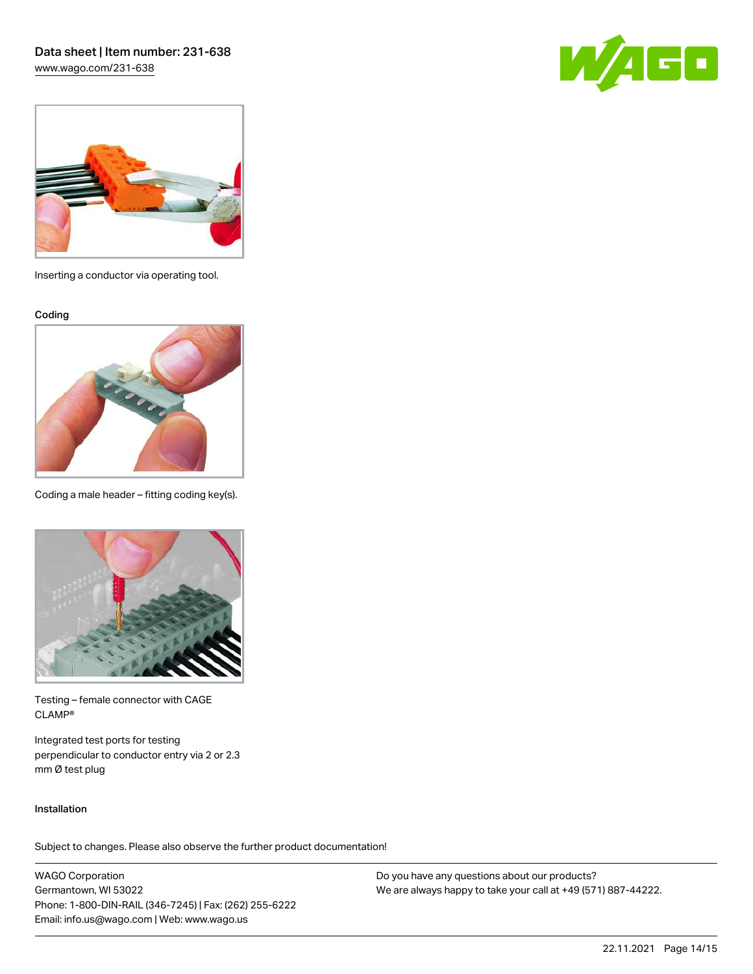Data sheet | Item number: 231-638 [www.wago.com/231-638](http://www.wago.com/231-638)

 $\sqrt{4}$  F  $\Box$ 



Inserting a conductor via operating tool.

Coding



Coding a male header – fitting coding key(s).



Testing – female connector with CAGE CLAMP®

Integrated test ports for testing perpendicular to conductor entry via 2 or 2.3 mm Ø test plug

## Installation

Subject to changes. Please also observe the further product documentation!

WAGO Corporation Germantown, WI 53022 Phone: 1-800-DIN-RAIL (346-7245) | Fax: (262) 255-6222 Email: info.us@wago.com | Web: www.wago.us